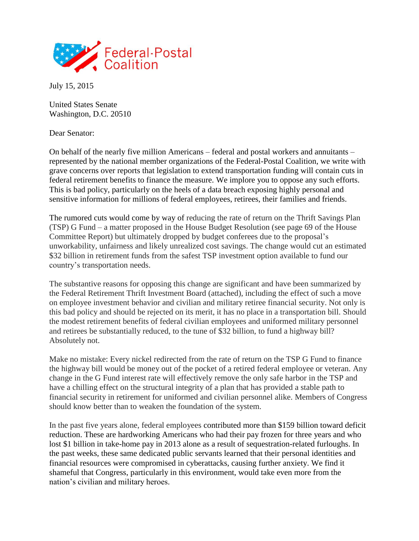

July 15, 2015

United States Senate Washington, D.C. 20510

Dear Senator:

On behalf of the nearly five million Americans – federal and postal workers and annuitants – represented by the national member organizations of the Federal-Postal Coalition, we write with grave concerns over reports that legislation to extend transportation funding will contain cuts in federal retirement benefits to finance the measure. We implore you to oppose any such efforts. This is bad policy, particularly on the heels of a data breach exposing highly personal and sensitive information for millions of federal employees, retirees, their families and friends.

The rumored cuts would come by way of reducing the rate of return on the Thrift Savings Plan (TSP) G Fund – a matter proposed in the House Budget Resolution (see page 69 of the House Committee Report) but ultimately dropped by budget conferees due to the proposal's unworkability, unfairness and likely unrealized cost savings. The change would cut an estimated \$32 billion in retirement funds from the safest TSP investment option available to fund our country's transportation needs.

The substantive reasons for opposing this change are significant and have been summarized by the Federal Retirement Thrift Investment Board (attached), including the effect of such a move on employee investment behavior and civilian and military retiree financial security. Not only is this bad policy and should be rejected on its merit, it has no place in a transportation bill. Should the modest retirement benefits of federal civilian employees and uniformed military personnel and retirees be substantially reduced, to the tune of \$32 billion, to fund a highway bill? Absolutely not.

Make no mistake: Every nickel redirected from the rate of return on the TSP G Fund to finance the highway bill would be money out of the pocket of a retired federal employee or veteran. Any change in the G Fund interest rate will effectively remove the only safe harbor in the TSP and have a chilling effect on the structural integrity of a plan that has provided a stable path to financial security in retirement for uniformed and civilian personnel alike. Members of Congress should know better than to weaken the foundation of the system.

In the past five years alone, federal employees contributed more than \$159 billion toward deficit reduction. These are hardworking Americans who had their pay frozen for three years and who lost \$1 billion in take-home pay in 2013 alone as a result of sequestration-related furloughs. In the past weeks, these same dedicated public servants learned that their personal identities and financial resources were compromised in cyberattacks, causing further anxiety. We find it shameful that Congress, particularly in this environment, would take even more from the nation's civilian and military heroes.